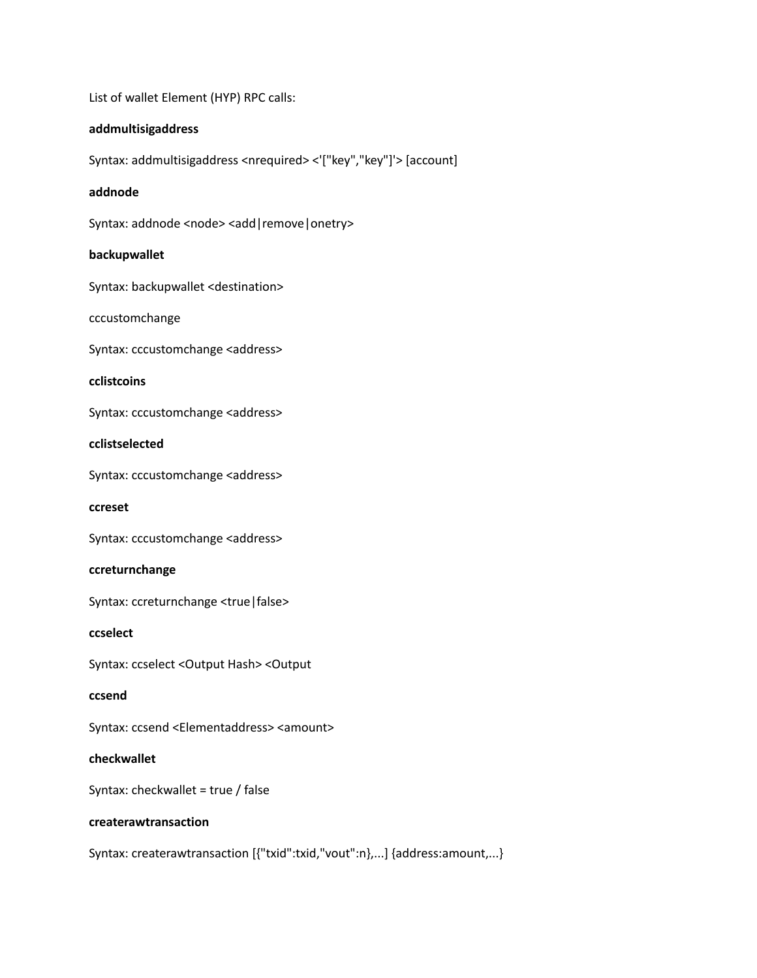List of wallet Element (HYP) RPC calls:

# **addmultisigaddress**

Syntax: addmultisigaddress <nrequired> <'["key","key"]'> [account]

## **addnode**

Syntax: addnode <node> <add | remove | onetry>

## **backupwallet**

Syntax: backupwallet <destination>

cccustomchange

Syntax: cccustomchange <address>

# **cclistcoins**

Syntax: cccustomchange <address>

## **cclistselected**

Syntax: cccustomchange <address>

**ccreset**

Syntax: cccustomchange <address>

## **ccreturnchange**

Syntax: ccreturnchange <true|false>

## **ccselect**

Syntax: ccselect <Output Hash> <Output

## **ccsend**

Syntax: ccsend <Elementaddress> <amount>

# **checkwallet**

Syntax: checkwallet = true / false

# **createrawtransaction**

Syntax: createrawtransaction [{"txid":txid,"vout":n},...] {address:amount,...}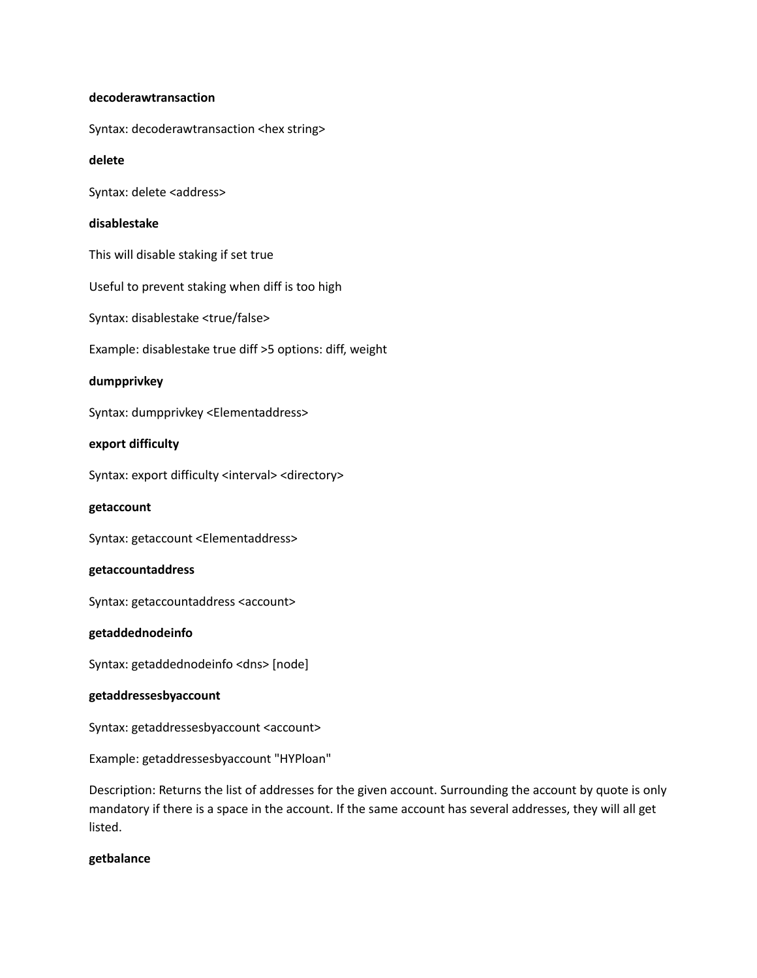### **decoderawtransaction**

Syntax: decoderawtransaction <hex string>

## **delete**

Syntax: delete <address>

# **disablestake**

This will disable staking if set true

Useful to prevent staking when diff is too high

Syntax: disablestake <true/false>

Example: disablestake true diff >5 options: diff, weight

# **dumpprivkey**

Syntax: dumpprivkey <Elementaddress>

# **export difficulty**

Syntax: export difficulty <interval> <directory>

**getaccount**

Syntax: getaccount <Elementaddress>

## **getaccountaddress**

Syntax: getaccountaddress <account>

## **getaddednodeinfo**

Syntax: getaddednodeinfo <dns> [node]

# **getaddressesbyaccount**

Syntax: getaddressesbyaccount <account>

Example: getaddressesbyaccount "HYPloan"

Description: Returns the list of addresses for the given account. Surrounding the account by quote is only mandatory if there is a space in the account. If the same account has several addresses, they will all get listed.

# **getbalance**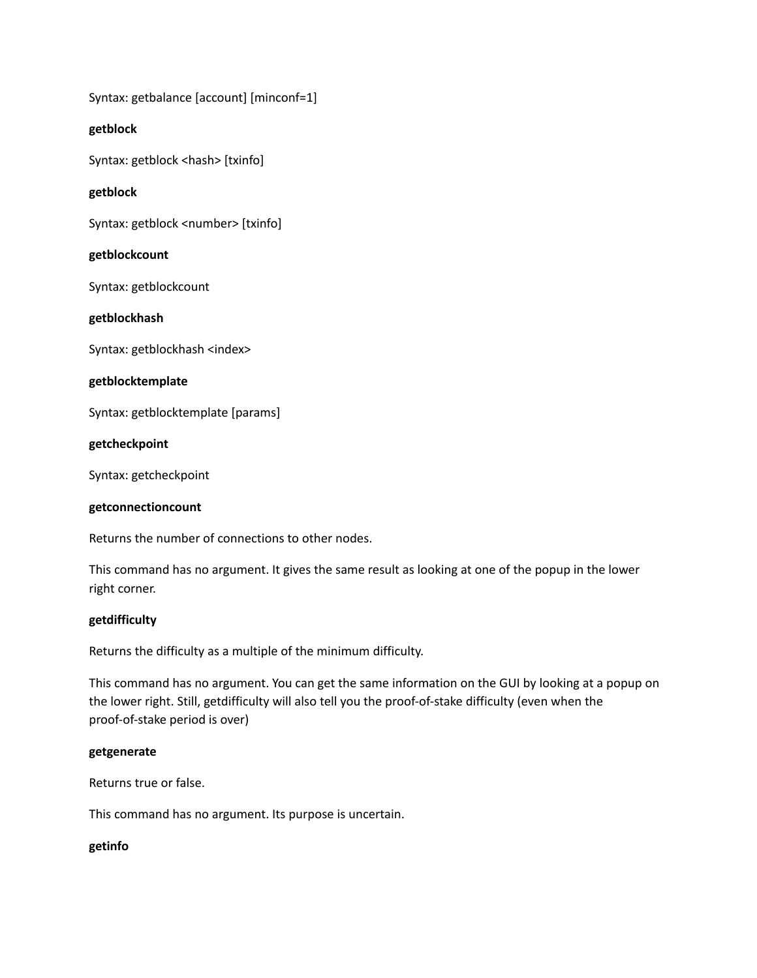Syntax: getbalance [account] [minconf=1]

# **getblock**

Syntax: getblock <hash> [txinfo]

# **getblock**

Syntax: getblock <number> [txinfo]

# **getblockcount**

Syntax: getblockcount

# **getblockhash**

Syntax: getblockhash <index>

# **getblocktemplate**

Syntax: getblocktemplate [params]

# **getcheckpoint**

Syntax: getcheckpoint

## **getconnectioncount**

Returns the number of connections to other nodes.

This command has no argument. It gives the same result as looking at one of the popup in the lower right corner.

## **getdifficulty**

Returns the difficulty as a multiple of the minimum difficulty.

This command has no argument. You can get the same information on the GUI by looking at a popup on the lower right. Still, getdifficulty will also tell you the proof-of-stake difficulty (even when the proof-of-stake period is over)

## **getgenerate**

Returns true or false.

This command has no argument. Its purpose is uncertain.

## **getinfo**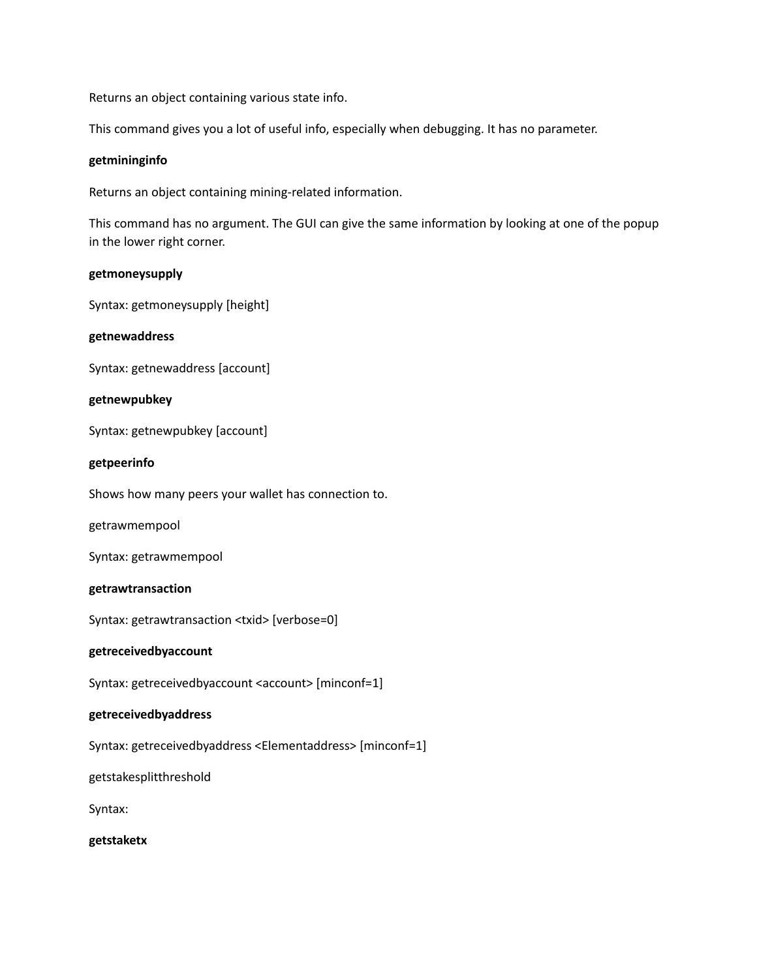Returns an object containing various state info.

This command gives you a lot of useful info, especially when debugging. It has no parameter.

## **getmininginfo**

Returns an object containing mining-related information.

This command has no argument. The GUI can give the same information by looking at one of the popup in the lower right corner.

### **getmoneysupply**

Syntax: getmoneysupply [height]

### **getnewaddress**

Syntax: getnewaddress [account]

### **getnewpubkey**

Syntax: getnewpubkey [account]

### **getpeerinfo**

Shows how many peers your wallet has connection to.

getrawmempool

Syntax: getrawmempool

## **getrawtransaction**

Syntax: getrawtransaction <txid> [verbose=0]

### **getreceivedbyaccount**

Syntax: getreceivedbyaccount <account> [minconf=1]

### **getreceivedbyaddress**

Syntax: getreceivedbyaddress <Elementaddress> [minconf=1]

getstakesplitthreshold

Syntax:

**getstaketx**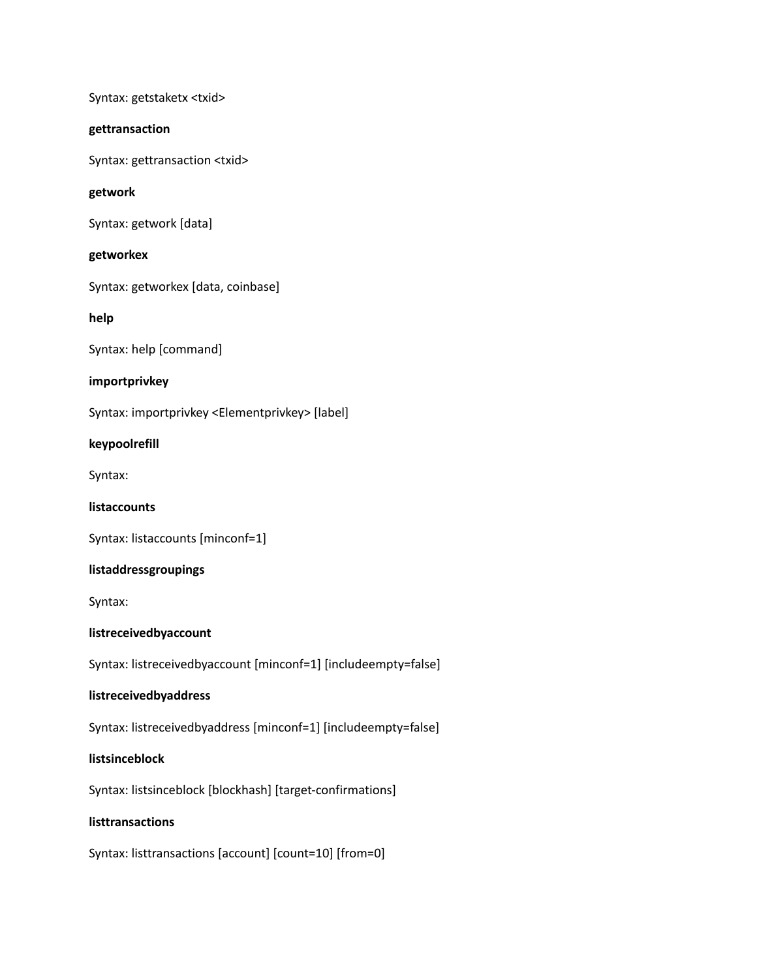Syntax: getstaketx <txid>

# **gettransaction**

Syntax: gettransaction <txid>

# **getwork**

Syntax: getwork [data]

# **getworkex**

Syntax: getworkex [data, coinbase]

**help**

Syntax: help [command]

# **importprivkey**

Syntax: importprivkey <Elementprivkey> [label]

# **keypoolrefill**

Syntax:

# **listaccounts**

Syntax: listaccounts [minconf=1]

# **listaddressgroupings**

Syntax:

# **listreceivedbyaccount**

Syntax: listreceivedbyaccount [minconf=1] [includeempty=false]

# **listreceivedbyaddress**

Syntax: listreceivedbyaddress [minconf=1] [includeempty=false]

# **listsinceblock**

Syntax: listsinceblock [blockhash] [target-confirmations]

# **listtransactions**

Syntax: listtransactions [account] [count=10] [from=0]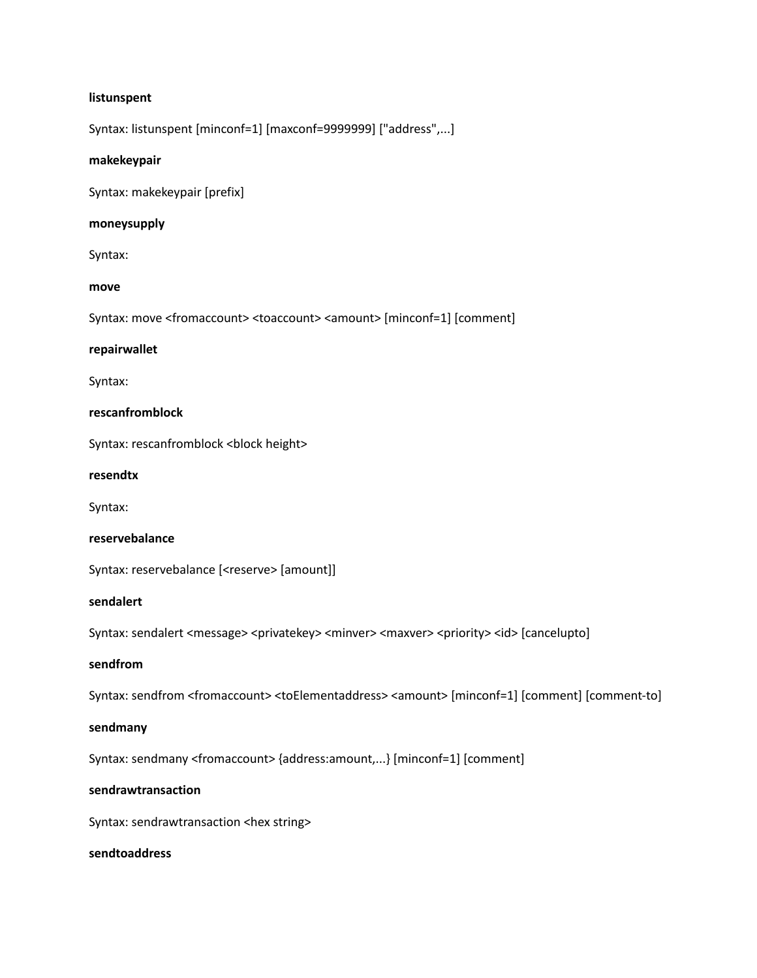### **listunspent**

Syntax: listunspent [minconf=1] [maxconf=9999999] ["address",...]

### **makekeypair**

Syntax: makekeypair [prefix]

## **moneysupply**

Syntax:

### **move**

Syntax: move <fromaccount> <toaccount> <amount> [minconf=1] [comment]

### **repairwallet**

Syntax:

### **rescanfromblock**

Syntax: rescanfromblock <block height>

### **resendtx**

Syntax:

#### **reservebalance**

Syntax: reservebalance [<reserve> [amount]]

# **sendalert**

Syntax: sendalert <message> <privatekey> <minver> <maxver> <priority> <id> [cancelupto]

### **sendfrom**

Syntax: sendfrom <fromaccount> <toElementaddress> <amount> [minconf=1] [comment] [comment-to]

### **sendmany**

Syntax: sendmany <fromaccount> {address:amount,...} [minconf=1] [comment]

# **sendrawtransaction**

Syntax: sendrawtransaction <hex string>

### **sendtoaddress**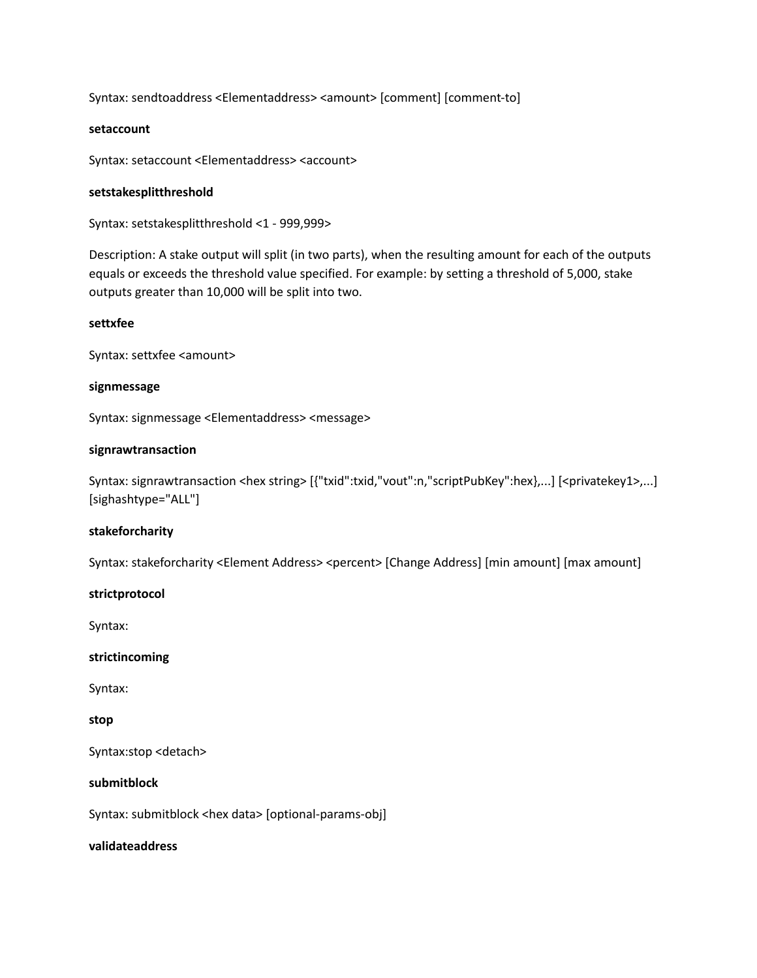Syntax: sendtoaddress <Elementaddress> <amount> [comment] [comment-to]

# **setaccount**

Syntax: setaccount <Elementaddress> <account>

## **setstakesplitthreshold**

Syntax: setstakesplitthreshold <1 - 999,999>

Description: A stake output will split (in two parts), when the resulting amount for each of the outputs equals or exceeds the threshold value specified. For example: by setting a threshold of 5,000, stake outputs greater than 10,000 will be split into two.

## **settxfee**

Syntax: settxfee <amount>

# **signmessage**

Syntax: signmessage <Elementaddress> <message>

# **signrawtransaction**

Syntax: signrawtransaction <hex string> [{"txid":txid,"vout":n,"scriptPubKey":hex},...] [<privatekey1>,...] [sighashtype="ALL"]

# **stakeforcharity**

Syntax: stakeforcharity <Element Address> <percent> [Change Address] [min amount] [max amount]

# **strictprotocol**

Syntax:

## **strictincoming**

Syntax:

## **stop**

Syntax:stop <detach>

## **submitblock**

Syntax: submitblock <hex data> [optional-params-obj]

## **validateaddress**